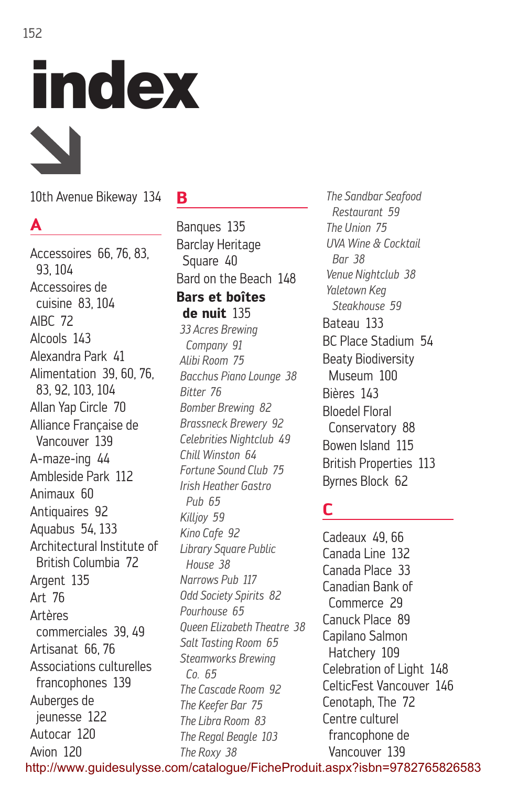# index

10th Avenue Bikeway 134

# **A**

Accessoires 66, 76, 83, 93, 104 Accessoires de cuisine 83, 104 AIBC 72 Alcools 143 Alexandra Park 41 Alimentation 39, 60, 76, 83, 92, 103, 104 Allan Yap Circle 70 Alliance Française de Vancouver 139 A-maze-ing 44 Ambleside Park 112 Animaux 60 Antiquaires 92 Aquabus 54, 133 Architectural Institute of British Columbia 72 Argent 135 Art 76 Artères commerciales 39, 49 Artisanat 66, 76 Associations culturelles francophones 139 Auberges de jeunesse 122 Autocar 120 Avion 120

### **B**

Banques 135 Barclay Heritage Square 40 Bard on the Beach 148 **Bars et boîtes de nuit** 135 *33 Acres Brewing Company 91 Alibi Room 75 Bacchus Piano Lounge 38 Bitter 76 Bomber Brewing 82 Brassneck Brewery 92 Celebrities Nightclub 49 Chill Winston 64 Fortune Sound Club 75 Irish Heather Gastro Pub 65 Killjoy 59 Kino Cafe 92 Library Square Public House 38 Narrows Pub 117 Odd Society Spirits 82 Pourhouse 65 Queen Elizabeth Theatre 38 Salt Tasting Room 65 Steamworks Brewing Co. 65 The Cascade Room 92 The Keefer Bar 75 The Libra Room 83 The Regal Beagle 103 The Roxy 38*

*The Sandbar Seafood Restaurant 59 The Union 75 UVA Wine & Cocktail Bar 38 Venue Nightclub 38 Yaletown Keg Steakhouse 59* Bateau 133 BC Place Stadium 54 Beaty Biodiversity Museum 100 Bières 143 Bloedel Floral Conservatory 88 Bowen Island 115 British Properties 113 Byrnes Block 62

# **C**

Cadeaux 49, 66 Canada Line 132 Canada Place 33 Canadian Bank of Commerce 29 Canuck Place 89 Capilano Salmon Hatchery 109 Celebration of Light 148 CelticFest Vancouver 146 Cenotaph, The 72 Centre culturel francophone de Vancouver 139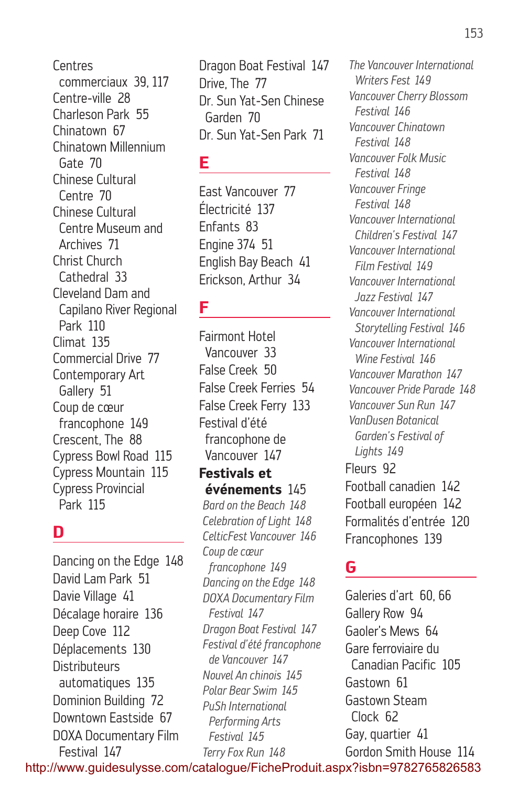**Centres** commerciaux 39, 117 Centre-ville 28 Charleson Park 55 Chinatown 67 Chinatown Millennium Gate 70 Chinese Cultural Centre 70 Chinese Cultural Centre Museum and Archives 71 Christ Church Cathedral 33 Cleveland Dam and Capilano River Regional Park 110 Climat 135 Commercial Drive 77 Contemporary Art Gallery 51 Coup de cœur francophone 149 Crescent, The 88 Cypress Bowl Road 115 Cypress Mountain 115 Cypress Provincial Park 115

# **D**

Dancing on the Edge 148 David Lam Park 51 Davie Village 41 Décalage horaire 136 Deep Cove 112 Déplacements 130 **Distributeurs** automatiques 135 Dominion Building 72 Downtown Eastside 67 DOXA Documentary Film Festival 147

Dragon Boat Festival 147 Drive, The 77 Dr. Sun Yat-Sen Chinese Garden 70 Dr. Sun Yat-Sen Park 71

# **E**

East Vancouver 77 Électricité 137 Enfants 83 Engine 374 51 English Bay Beach 41 Erickson, Arthur 34

#### **F**

Fairmont Hotel Vancouver 33 False Creek 50 False Creek Ferries 54 False Creek Ferry 133 Festival d'été francophone de Vancouver 147 **Festivals et événements** 145 *Bard on the Beach 148 Celebration of Light 148 CelticFest Vancouver 146 Coup de cœur francophone 149 Dancing on the Edge 148 DOXA Documentary Film Festival 147 Dragon Boat Festival 147 Festival d'été francophone de Vancouver 147 Nouvel An chinois 145 Polar Bear Swim 145 PuSh International Performing Arts Festival 145 Terry Fox Run 148*

*The Vancouver International Writers Fest 149 Vancouver Cherry Blossom Festival 146 Vancouver Chinatown Festival 148 Vancouver Folk Music Festival 148 Vancouver Fringe Festival 148 Vancouver International Children's Festival 147 Vancouver International Film Festival 149 Vancouver International Jazz Festival 147 Vancouver International Storytelling Festival 146 Vancouver International Wine Festival 146 Vancouver Marathon 147 Vancouver Pride Parade 148 Vancouver Sun Run 147 VanDusen Botanical Garden's Festival of Lights 149* Fleurs 92 Football canadien 142 Football européen 142 Formalités d'entrée 120 Francophones 139

# **G**

Galeries d'art 60, 66 Gallery Row 94 Gaoler's Mews 64 Gare ferroviaire du Canadian Pacific 105 Gastown 61 Gastown Steam Clock 62 Gay, quartier 41 Gordon Smith House 114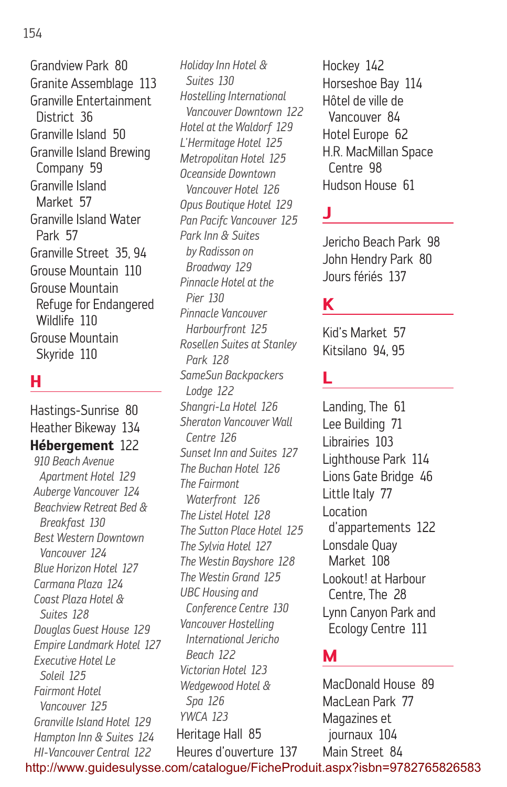Grandview Park 80 Granite Assemblage 113 Granville Entertainment District 36 Granville Island 50 Granville Island Brewing Company 59 Granville Island Market 57 Granville Island Water Park 57 Granville Street 35, 94 Grouse Mountain 110 Grouse Mountain Refuge for Endangered Wildlife 110 Grouse Mountain Skyride 110

# **H**

Hastings-Sunrise 80 Heather Bikeway 134 **Hébergement** 122 *910 Beach Avenue Apartment Hotel 129 Auberge Vancouver 124 Beachview Retreat Bed & Breakfast 130 Best Western Downtown Vancouver 124 Blue Horizon Hotel 127 Carmana Plaza 124 Coast Plaza Hotel & Suites 128 Douglas Guest House 129 Empire Landmark Hotel 127 Executive Hotel Le Soleil 125 Fairmont Hotel Vancouver 125 Granville Island Hotel 129 Hampton Inn & Suites 124 HI-Vancouver Central 122*

*Holiday Inn Hotel & Suites 130 Hostelling International Vancouver Downtown 122 Hotel at the Waldorf 129 L'Hermitage Hotel 125 Metropolitan Hotel 125 Oceanside Downtown Vancouver Hotel 126 Opus Boutique Hotel 129 Pan Pacifc Vancouver 125 Park Inn & Suites by Radisson on Broadway 129 Pinnacle Hotel at the Pier 130 Pinnacle Vancouver Harbourfront 125 Rosellen Suites at Stanley Park 128 SameSun Backpackers Lodge 122 Shangri-La Hotel 126 Sheraton Vancouver Wall Centre 126 Sunset Inn and Suites 127 The Buchan Hotel 126 The Fairmont Waterfront 126 The Listel Hotel 128 The Sutton Place Hotel 125 The Sylvia Hotel 127 The Westin Bayshore 128 The Westin Grand 125 UBC Housing and Conference Centre 130 Vancouver Hostelling International Jericho Beach 122 Victorian Hotel 123 Wedgewood Hotel & Spa 126 YWCA 123* Heritage Hall 85 Heures d'ouverture 137

Hockey 142 Horseshoe Bay 114 Hôtel de ville de Vancouver 84 Hotel Europe 62 H.R. MacMillan Space Centre 98 Hudson House 61

# **J**

Jericho Beach Park 98 John Hendry Park 80 Jours fériés 137

# **K**

Kid's Market 57 Kitsilano 94, 95

#### **L**

Landing, The 61 Lee Building 71 Librairies 103 Lighthouse Park 114 Lions Gate Bridge 46 Little Italy 77 Location d'appartements 122 Lonsdale Quay Market 108 Lookout! at Harbour Centre, The 28 Lynn Canyon Park and Ecology Centre 111

#### **M**

MacDonald House 89 MacLean Park 77 Magazines et journaux 104 Main Street 84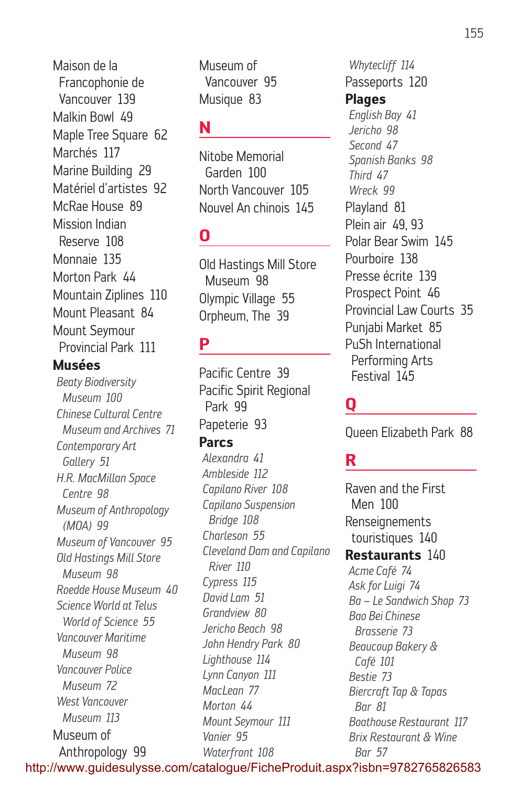Maison de la Francophonie de Vancouver 139 Malkin Bowl 49 Maple Tree Square 62 Marchés 117 Marine Building 29 Matériel d'artistes 92 McRae House 89 Mission Indian Reserve 108 Monnaie 135 Morton Park 44 Mountain Ziplines 110 Mount Pleasant 84 Mount Seymour Provincial Park 111 **Musées** *Beaty Biodiversity Museum 100*

*Chinese Cultural Centre Museum and Archives 71 Contemporary Art Gallery 51 H.R. MacMillan Space Centre 98 Museum of Anthropology (MOA) 99 Museum of Vancouver 95 Old Hastings Mill Store Museum 98 Roedde House Museum 40 Science World at Telus World of Science 55 Vancouver Maritime Museum 98 Vancouver Police Museum 72 West Vancouver Museum 113* Museum of Anthropology 99

Museum of Vancouver 95 Musique 83

#### **N**

Nitobe Memorial Garden 100 North Vancouver 105 Nouvel An chinois 145

# **O**

Old Hastings Mill Store Museum 98 Olympic Village 55 Orpheum, The 39

## **P**

Pacific Centre 39 Pacific Spirit Regional Park 99 Papeterie 93

#### **Parcs**

*Alexandra 41 Ambleside 112 Capilano River 108 Capilano Suspension Bridge 108 Charleson 55 Cleveland Dam and Capilano River 110 Cypress 115 David Lam 51 Grandview 80 Jericho Beach 98 John Hendry Park 80 Lighthouse 114 Lynn Canyon 111 MacLean 77 Morton 44 Mount Seymour 111 Vanier 95 Waterfront 108*

*Whytecliff 114* Passeports 120 **Plages** *English Bay 41 Jericho 98 Second 47 Spanish Banks 98 Third 47 Wreck 99* Playland 81 Plein air 49, 93 Polar Bear Swim 145 Pourboire 138 Presse écrite 139 Prospect Point 46 Provincial Law Courts 35 Punjabi Market 85 PuSh International Performing Arts Festival 145

# **Q**

Queen Elizabeth Park 88

# **R**

Raven and the First Men 100 Renseignements touristiques 140

#### **Restaurants** 140

*Acme Café 74 Ask for Luigi 74 Ba – Le Sandwich Shop 73 Bao Bei Chinese Brasserie 73 Beaucoup Bakery & Café 101 Bestie 73 Biercraft Tap & Tapas Bar 81 Boathouse Restaurant 117 Brix Restaurant & Wine Bar 57*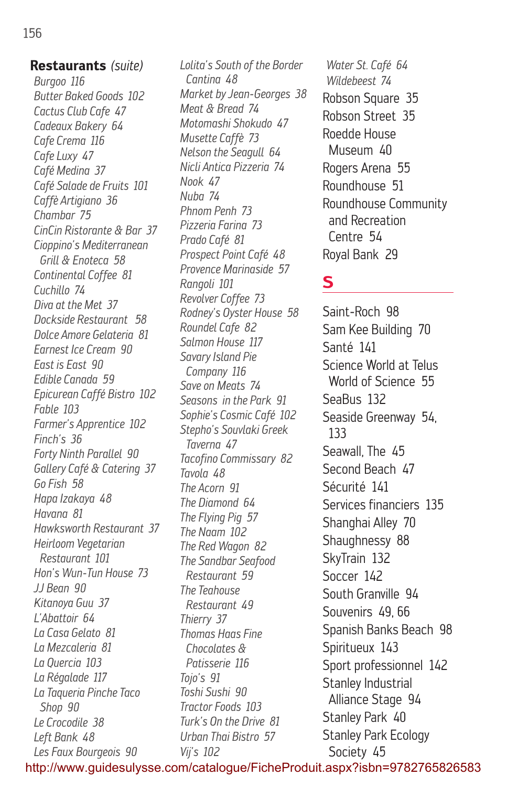**Restaurants** *(suite) Burgoo 116 Butter Baked Goods 102 Cactus Club Cafe 47 Cadeaux Bakery 64 Cafe Crema 116 Cafe Luxy 47 Café Medina 37 Café Salade de Fruits 101 Caffè Artigiano 36 Chambar 75 CinCin Ristorante & Bar 37 Cioppino's Mediterranean Grill & Enoteca 58 Continental Coffee 81 Cuchillo 74 Diva at the Met 37 Dockside Restaurant 58 Dolce Amore Gelateria 81 Earnest Ice Cream 90 East is East 90 Edible Canada 59 Epicurean Caffé Bistro 102 Fable 103 Farmer's Apprentice 102 Finch's 36 Forty Ninth Parallel 90 Gallery Café & Catering 37 Go Fish 58 Hapa Izakaya 48 Havana 81 Hawksworth Restaurant 37 Heirloom Vegetarian Restaurant 101 Hon's Wun-Tun House 73 JJ Bean 90 Kitanoya Guu 37 L'Abattoir 64 La Casa Gelato 81 La Mezcaleria 81 La Quercia 103 La Régalade 117 La Taqueria Pinche Taco Shop 90 Le Crocodile 38 Left Bank 48*

*Les Faux Bourgeois 90*

*Lolita's South of the Border Cantina 48 Market by Jean-Georges 38 Meat & Bread 74 Motomashi Shokudo 47 Musette Caffè 73 Nelson the Seagull 64 Nicli Antica Pizzeria 74 Nook 47 Nuba 74 Phnom Penh 73 Pizzeria Farina 73 Prado Café 81 Prospect Point Café 48 Provence Marinaside 57 Rangoli 101 Revolver Coffee 73 Rodney's Oyster House 58 Roundel Cafe 82 Salmon House 117 Savary Island Pie Company 116 Save on Meats 74 Seasons in the Park 91 Sophie's Cosmic Café 102 Stepho's Souvlaki Greek Taverna 47 Tacofino Commissary 82 Tavola 48 The Acorn 91 The Diamond 64 The Flying Pig 57 The Naam 102 The Red Wagon 82 The Sandbar Seafood Restaurant 59 The Teahouse Restaurant 49 Thierry 37 Thomas Haas Fine Chocolates & Patisserie 116 Tojo's 91 Toshi Sushi 90 Tractor Foods 103 Turk's On the Drive 81 Urban Thai Bistro 57 Vij's 102*

*Water St. Café 64 Wildebeest 74* Robson Square 35 Robson Street 35 Roedde House Museum 40 Rogers Arena 55 Roundhouse 51 Roundhouse Community and Recreation Centre 54 Royal Bank 29

# **S**

Saint-Roch 98 Sam Kee Building 70 Santé 141 Science World at Telus World of Science 55 SeaBus 132 Seaside Greenway 54, 133 Seawall, The 45 Second Beach 47 Sécurité 141 Services financiers 135 Shanghai Alley 70 Shaughnessy 88 SkyTrain 132 Soccer 142 South Granville 94 Souvenirs 49, 66 Spanish Banks Beach 98 Spiritueux 143 Sport professionnel 142 Stanley Industrial Alliance Stage 94 Stanley Park 40 Stanley Park Ecology Society 45